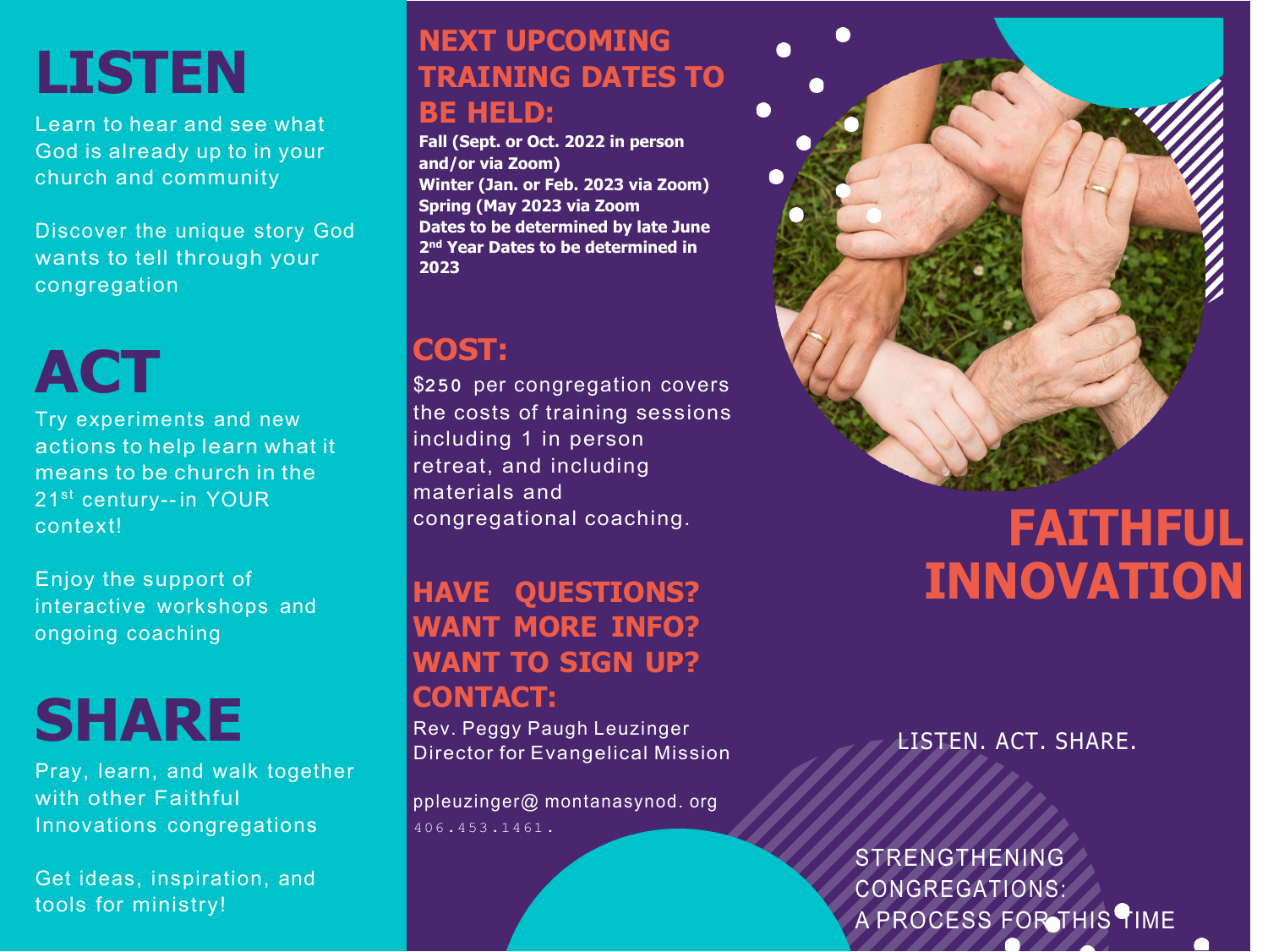# **LISTEN**

Learn to hear and see what God is already up to in your church and community

Discover the unique story God wants to tell through your congregation

**ACT**

Try experiments and new actions to help learn what it means to be church in the 21<sup>st</sup> century-- in YOUR context!

Enjoy the support of interactive workshops and ongoing coaching

# **SHARE**

Pray, learn, and walk together with other Faithful Innovations congregations

Get ideas, inspiration, and tools for ministry!

### **NEXT UPCOMING TRAINING DATES TO BE HELD:**

**Fall (Sept. or Oct. 2022 in person and/or via Zoom) Winter (Jan. or Feb. 2023 via Zoom) Spring (May 2023 via Zoom Dates to be determined by late June 2nd Year Dates to be determined in 2023**

## **COST:**

\$**250** per congregation covers the costs of training sessions including 1 in person retreat, and including materials and congregational coaching.

#### **HAVE QUESTIONS? WANT MORE INFO? WANT TO SIGN UP? CONTACT:**

Rev. Peggy Paugh Leuzinger Director for Evangelical Mission

ppleuzinger@ montanasynod. org 406 . 453 . 1461 .

# **FAITHFUL INNOVATION**

LISTEN. ACT. SHARE.

STRENGTHENING CONGREGATIONS: A PROCESS FOR THIS TIME